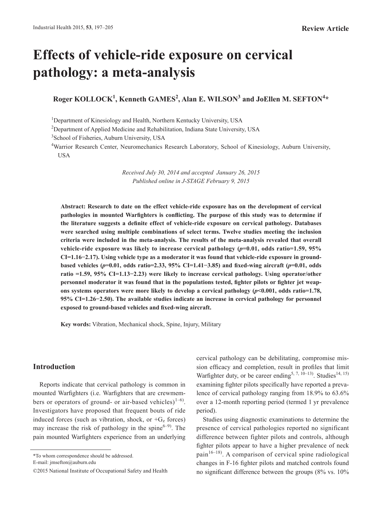# **Effects of vehicle-ride exposure on cervical pathology: a meta-analysis**

 $\textbf{Roger KOLLOCK}^1\text{, Kenneth GAMES}^2\text{, Alan E. WILSON}^3\text{ and JoEllen M. SEFTON}^{4*}$ 

<sup>1</sup>Department of Kinesiology and Health, Northern Kentucky University, USA

<sup>2</sup>Department of Applied Medicine and Rehabilitation, Indiana State University, USA

3 School of Fisheries, Auburn University, USA

4 Warrior Research Center, Neuromechanics Research Laboratory, School of Kinesiology, Auburn University, USA

> *Received July 30, 2014 and accepted January 26, 2015 Published online in J-STAGE February 9, 2015*

**Abstract: Research to date on the effect vehicle-ride exposure has on the development of cervical pathologies in mounted Warfighters is conflicting. The purpose of this study was to determine if the literature suggests a definite effect of vehicle-ride exposure on cervical pathology. Databases were searched using multiple combinations of select terms. Twelve studies meeting the inclusion criteria were included in the meta-analysis. The results of the meta-analysis revealed that overall vehicle-ride exposure was likely to increase cervical pathology (***p***=0.01, odds ratio=1.59, 95% CI=1.16−2.17). Using vehicle type as a moderator it was found that vehicle-ride exposure in groundbased vehicles (***p***=0.01, odds ratio=2.33, 95% CI=1.41−3.85) and fixed-wing aircraft (***p***=0.01, odds ratio =1.59, 95% CI=1.13−2.23) were likely to increase cervical pathology. Using operator/other personnel moderator it was found that in the populations tested, fighter pilots or fighter jet weapons systems operators were more likely to develop a cervical pathology (***p***<0.001, odds ratio=1.78, 95% CI=1.26−2.50). The available studies indicate an increase in cervical pathology for personnel exposed to ground-based vehicles and fixed-wing aircraft.**

**Key words:** Vibration, Mechanical shock, Spine, Injury, Military

#### **Introduction**

Reports indicate that cervical pathology is common in mounted Warfighters (i.e. Warfighters that are crewmem-bers or operators of ground- or air-based vehicles)<sup>[1–6](#page-7-0))</sup>. Investigators have proposed that frequent bouts of ride induced forces (such as vibration, shock, or  $+G<sub>z</sub>$  forces) may increase the risk of pathology in the spine $6-9$ . The pain mounted Warfighters experience from an underlying

E-mail: jmsefton@auburn.edu

cervical pathology can be debilitating, compromise mission efficacy and completion, result in profiles that limit Warfighter duty, or be career ending<sup>[5, 7, 10–13](#page-7-2))</sup>. Studies<sup>[14, 15](#page-7-3))</sup> examining fighter pilots specifically have reported a prevalence of cervical pathology ranging from 18.9% to 63.6% over a 12-month reporting period (termed 1 yr prevalence period).

Studies using diagnostic examinations to determine the presence of cervical pathologies reported no significant difference between fighter pilots and controls, although fighter pilots appear to have a higher prevalence of neck pain $16-18$ ). A comparison of cervical spine radiological changes in F-16 fighter pilots and matched controls found no significant difference between the groups (8% vs. 10%

<sup>\*</sup>To whom correspondence should be addressed.

<sup>©2015</sup> National Institute of Occupational Safety and Health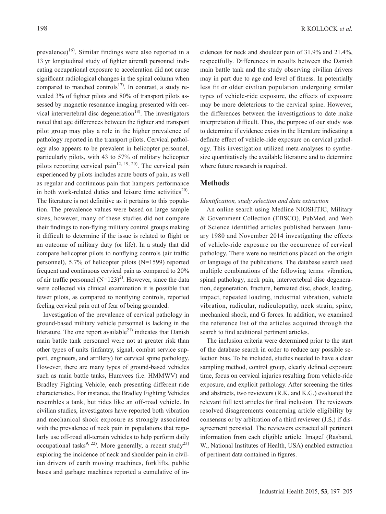prevalence)<sup>[16\)](#page-7-4)</sup>. Similar findings were also reported in a 13 yr longitudinal study of fighter aircraft personnel indicating occupational exposure to acceleration did not cause significant radiological changes in the spinal column when compared to matched controls<sup>[17\)](#page-7-5)</sup>. In contrast, a study revealed 3% of fighter pilots and 80% of transport pilots assessed by magnetic resonance imaging presented with cer-vical intervertebral disc degeneration<sup>[18](#page-8-0))</sup>. The investigators noted that age differences between the fighter and transport pilot group may play a role in the higher prevalence of pathology reported in the transport pilots. Cervical pathology also appears to be prevalent in helicopter personnel, particularly pilots, with 43 to 57% of military helicopter pilots reporting cervical pain<sup>12, 19, 20</sup>). The cervical pain experienced by pilots includes acute bouts of pain, as well as regular and continuous pain that hampers performance in both work-related duties and leisure time activities<sup>[20](#page-8-1))</sup>. The literature is not definitive as it pertains to this population. The prevalence values were based on large sample sizes, however, many of these studies did not compare their findings to non-flying military control groups making it difficult to determine if the issue is related to flight or an outcome of military duty (or life). In a study that did compare helicopter pilots to nonflying controls (air traffic personnel), 5.7% of helicopter pilots (N=1599) reported frequent and continuous cervical pain as compared to 20% of air traffic personnel  $(N=123)^2$ . However, since the data were collected via clinical examination it is possible that fewer pilots, as compared to nonflying controls, reported feeling cervical pain out of fear of being grounded.

Investigation of the prevalence of cervical pathology in ground-based military vehicle personnel is lacking in the literature. The one report available $^{21)}$  $^{21)}$  $^{21)}$  indicates that Danish main battle tank personnel were not at greater risk than other types of units (infantry, signal, combat service support, engineers, and artillery) for cervical spine pathology. However, there are many types of ground-based vehicles such as main battle tanks, Humvees (i.e. HMMWV) and Bradley Fighting Vehicle, each presenting different ride characteristics. For instance, the Bradley Fighting Vehicles resembles a tank, but rides like an off-road vehicle. In civilian studies, investigators have reported both vibration and mechanical shock exposure as strongly associated with the prevalence of neck pain in populations that regularly use off-road all-terrain vehicles to help perform daily occupational tasks<sup>[9, 22](#page-7-8))</sup>. More generally, a recent study<sup>[23\)](#page-8-3)</sup> exploring the incidence of neck and shoulder pain in civilian drivers of earth moving machines, forklifts, public buses and garbage machines reported a cumulative of incidences for neck and shoulder pain of 31.9% and 21.4%, respectfully. Differences in results between the Danish main battle tank and the study observing civilian drivers may in part due to age and level of fitness. In potentially less fit or older civilian population undergoing similar types of vehicle-ride exposure, the effects of exposure may be more deleterious to the cervical spine. However, the differences between the investigations to date make interpretation difficult. Thus, the purpose of our study was to determine if evidence exists in the literature indicating a definite effect of vehicle-ride exposure on cervical pathology. This investigation utilized meta-analyses to synthesize quantitatively the available literature and to determine where future research is required.

# **Methods**

## *Identification, study selection and data extraction*

An online search using Medline NIOSHTIC, Military & Government Collection (EBSCO), PubMed, and Web of Science identified articles published between January 1980 and November 2014 investigating the effects of vehicle-ride exposure on the occurrence of cervical pathology. There were no restrictions placed on the origin or language of the publications. The database search used multiple combinations of the following terms: vibration, spinal pathology, neck pain, intervertebral disc degeneration, degeneration, fracture, herniated disc, shock, loading, impact, repeated loading, industrial vibration, vehicle vibration, radicular, radiculopathy, neck strain, spine, mechanical shock, and G forces. In addition, we examined the reference list of the articles acquired through the search to find additional pertinent articles.

The inclusion criteria were determined prior to the start of the database search in order to reduce any possible selection bias. To be included, studies needed to have a clear sampling method, control group, clearly defined exposure time, focus on cervical injuries resulting from vehicle-ride exposure, and explicit pathology. After screening the titles and abstracts, two reviewers (R.K. and K.G.) evaluated the relevant full text articles for final inclusion. The reviewers resolved disagreements concerning article eligibility by consensus or by arbitration of a third reviewer (J.S.) if disagreement persisted. The reviewers extracted all pertinent information from each eligible article. ImageJ (Rasband, W., National Institutes of Health, USA) enabled extraction of pertinent data contained in figures.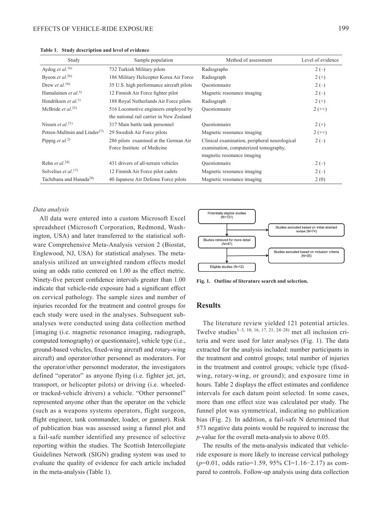| Study                                    | Sample population                        | Method of assessment                          | Level of evidence |
|------------------------------------------|------------------------------------------|-----------------------------------------------|-------------------|
| Aydog et $al$ . <sup>16)</sup>           | 732 Turkish Military pilots              | Radiographs                                   | $2(-)$            |
| Byeon et $al^{26}$                       | 186 Military Helicopter Korea Air Force  | Radiograph                                    | $2 (+)$           |
| Drew <i>et al.</i> <sup>10</sup>         | 35 U.S. high performance aircraft pilots | Ouestionnaire                                 | $2(-)$            |
| Hamalainen et $al^{(3)}$                 | 12 Finnish Air Force fighter pilot       | Magnetic resonance imaging                    | $2(-)$            |
| Hendriksen et al. <sup>1)</sup>          | 188 Royal Netherlands Air Force pilots   | Radiograph                                    | $2 (+)$           |
| McBride <i>et al.</i> <sup>25)</sup>     | 516 Locomotive engineers employed by     | Ouestionnaire                                 | $2 (++)$          |
|                                          | the national rail carrier in New Zealand |                                               |                   |
| Nissen et al. <sup>21)</sup>             | 317 Main battle tank personnel           | Ouestionnaire                                 | $2 (+)$           |
| Petren-Mallmin and Linder <sup>27)</sup> | 29 Swedish Air Force pilots              | Magnetic resonance imaging                    | $2 (++)$          |
| Pippig <i>et al.</i> <sup>2)</sup>       | 286 pilots examined at the German Air    | Clinical examination, peripheral neurological | $2(-)$            |
|                                          | Force Institute of Medicine              | examination, computerized tomography,         |                   |
|                                          |                                          | magnetic resonance imaging                    |                   |
| Rehn <i>et al.</i> <sup>24)</sup>        | 431 drivers of all-terrain vehicles      | Ouestionnaire                                 | $2(-)$            |
| Solvelius <i>et al.</i> <sup>17)</sup>   | 12 Finnish Air Force pilot cadets        | Magnetic resonance imaging                    | $2(-)$            |
| Tachibana and Hanada <sup>28)</sup>      | 40 Japanese Air Defense Force pilots     | Magnetic resonance imaging                    | 2(0)              |

**Table 1. Study description and level of evidence**

#### *Data analysis*

All data were entered into a custom Microsoft Excel spreadsheet (Microsoft Corporation, Redmond, Washington, USA) and later transferred to the statistical software Comprehensive Meta-Analysis version 2 (Biostat, Englewood, NJ, USA) for statistical analyses. The metaanalysis utilized an unweighted random effects model using an odds ratio centered on 1.00 as the effect metric. Ninety-five percent confidence intervals greater than 1.00 indicate that vehicle-ride exposure had a significant effect on cervical pathology. The sample sizes and number of injuries recorded for the treatment and control groups for each study were used in the analyses. Subsequent subanalyses were conducted using data collection method [imaging (i.e. magnetic resonance imaging, radiograph, computed tomography) or questionnaire], vehicle type (i.e., ground-based vehicles, fixed-wing aircraft and rotary-wing aircraft) and operator/other personnel as moderators. For the operator/other personnel moderator, the investigators defined "operator" as anyone flying (i.e. fighter jet, jet, transport, or helicopter pilots) or driving (i.e. wheeledor tracked-vehicle drivers) a vehicle. "Other personnel" represented anyone other than the operator on the vehicle (such as a weapons systems operators, flight surgeon, flight engineer, tank commander, loader, or gunner). Risk of publication bias was assessed using a funnel plot and a fail-safe number identified any presence of selective reporting within the studies. The Scottish Intercollegiate Guidelines Network (SIGN) grading system was used to evaluate the quality of evidence for each article included in the meta-analysis (Table 1).



**Fig. 1. Outline of literature search and selection.**

## **Results**

The literature review yielded 121 potential articles. Twelve studies<sup>[1–3, 10, 16, 17, 21, 24–28](#page-7-0))</sup> met all inclusion criteria and were used for later analyses (Fig. 1). The data extracted for the analysis included: number participants in the treatment and control groups; total number of injuries in the treatment and control groups; vehicle type (fixedwing, rotary-wing, or ground); and exposure time in hours. Table 2 displays the effect estimates and confidence intervals for each datum point selected. In some cases, more than one effect size was calculated per study. The funnel plot was symmetrical, indicating no publication bias (Fig. 2). In addition, a fail-safe N determined that 573 negative data points would be required to increase the *p*-value for the overall meta-analysis to above 0.05.

The results of the meta-analysis indicated that vehicleride exposure is more likely to increase cervical pathology (*p*=0.01, odds ratio=1.59, 95% CI=1.16−2.17) as compared to controls. Follow-up analysis using data collection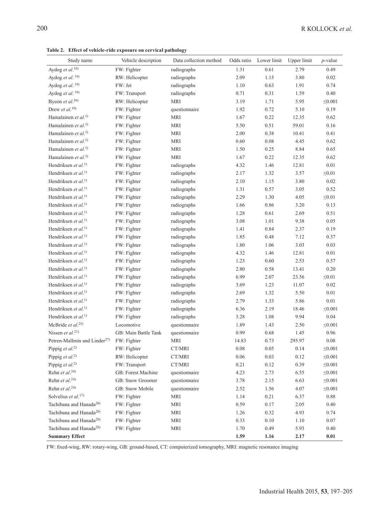| Study name                               | Vehicle description  | Data collection method | Odds ratio | Lower limit | Upper limit | $p$ -value   |
|------------------------------------------|----------------------|------------------------|------------|-------------|-------------|--------------|
| Aydog et al. <sup>16)</sup>              | FW: Fighter          | radiographs            | 1.31       | 0.61        | 2.79        | 0.49         |
| Aydog et al. 16)                         | RW: Helicopter       | radiographs            | 2.09       | 1.15        | 3.80        | 0.02         |
| Aydog et al. 16)                         | FW: Jet              | radiographs            | 1.10       | 0.63        | 1.91        | 0.74         |
| Aydog et al. 16)                         | FW: Transport        | radiographs            | 0.71       | 0.31        | 1.59        | 0.40         |
| Byeon et al. <sup>26)</sup>              | RW: Helicopter       | <b>MRI</b>             | 3.19       | 1.71        | 5.95        | $\leq 0.001$ |
| Drew et al. <sup>10)</sup>               | FW: Fighter          | questionnaire          | 1.92       | 0.72        | 5.10        | 0.19         |
| Hamalainen et $al$ . <sup>3)</sup>       | FW: Fighter          | <b>MRI</b>             | 1.67       | 0.22        | 12.35       | 0.62         |
| Hamalainen et al. <sup>3)</sup>          | FW: Fighter          | <b>MRI</b>             | 5.50       | 0.51        | 59.01       | 0.16         |
| Hamalainen et $al$ . <sup>3)</sup>       | FW: Fighter          | <b>MRI</b>             | 2.00       | 0.38        | 10.41       | 0.41         |
| Hamalainen et al. <sup>3)</sup>          | FW: Fighter          | <b>MRI</b>             | 0.60       | 0.08        | 4.45        | 0.62         |
| Hamalainen et al. <sup>3)</sup>          | FW: Fighter          | <b>MRI</b>             | 1.50       | 0.25        | 8.84        | 0.65         |
| Hamalainen et al. <sup>3)</sup>          | FW: Fighter          | <b>MRI</b>             | 1.67       | 0.22        | 12.35       | 0.62         |
| Hendriksen et al. <sup>1)</sup>          | FW: Fighter          | radiographs            | 4.32       | 1.46        | 12.81       | 0.01         |
| Hendriksen et al. <sup>1)</sup>          | FW: Fighter          | radiographs            | 2.17       | 1.32        | 3.57        | $\leq 0.01$  |
| Hendriksen et al. <sup>1)</sup>          | FW: Fighter          | radiographs            | 2.10       | 1.15        | 3.80        | 0.02         |
| Hendriksen et al. <sup>1)</sup>          | FW: Fighter          | radiographs            | 1.31       | 0.57        | 3.05        | 0.52         |
| Hendriksen et al. <sup>1)</sup>          | FW: Fighter          | radiographs            | 2.29       | 1.30        | 4.05        | $\leq 0.01$  |
| Hendriksen et al. <sup>1)</sup>          | FW: Fighter          | radiographs            | 1.66       | 0.86        | 3.20        | 0.13         |
| Hendriksen et al. <sup>1)</sup>          | FW: Fighter          | radiographs            | 1.28       | 0.61        | 2.69        | 0.51         |
| Hendriksen et al. <sup>1)</sup>          | FW: Fighter          | radiographs            | 3.08       | 1.01        | 9.38        | 0.05         |
| Hendriksen et al. <sup>1)</sup>          | FW: Fighter          | radiographs            | 1.41       | 0.84        | 2.37        | 0.19         |
| Hendriksen et al. <sup>1)</sup>          | FW: Fighter          | radiographs            | 1.85       | 0.48        | 7.12        | 0.37         |
| Hendriksen et $al$ . <sup>1)</sup>       | FW: Fighter          | radiographs            | 1.80       | 1.06        | 3.03        | 0.03         |
| Hendriksen et al. <sup>1)</sup>          | FW: Fighter          | radiographs            | 4.32       | 1.46        | 12.81       | 0.01         |
| Hendriksen et al. <sup>1)</sup>          | FW: Fighter          | radiographs            | 1.23       | 0.60        | 2.53        | 0.57         |
| Hendriksen et al. <sup>1)</sup>          | FW: Fighter          | radiographs            | 2.80       | 0.58        | 13.41       | 0.20         |
| Hendriksen et al. <sup>1)</sup>          | FW: Fighter          | radiographs            | 6.99       | 2.07        | 23.56       | $\leq 0.01$  |
| Hendriksen et al. <sup>1)</sup>          | FW: Fighter          | radiographs            | 3.69       | 1.23        | 11.07       | 0.02         |
| Hendriksen et al. <sup>1)</sup>          | FW: Fighter          | radiographs            | 2.69       | 1.32        | 5.50        | 0.01         |
| Hendriksen et al. <sup>1)</sup>          | FW: Fighter          | radiographs            | 2.79       | 1.33        | 5.86        | 0.01         |
| Hendriksen et al. <sup>1)</sup>          | FW: Fighter          | radiographs            | 6.36       | 2.19        | 18.46       | $\leq 0.001$ |
| Hendriksen et al. <sup>1)</sup>          | FW: Fighter          | radiographs            | 3.28       | 1.08        | 9.94        | $0.04\,$     |
| McBride et al. <sup>25)</sup>            | Locomotive           | questionnaire          | 1.89       | 1.43        | 2.50        | $\leq 0.001$ |
| Nissen et $al^{(21)}$                    | GB: Main Battle Tank | questionnaire          | 0.99       | 0.68        | 1.45        | 0.96         |
| Petren-Mallmin and Linder <sup>27)</sup> | FW: Fighter          | <b>MRI</b>             | 14.83      | 0.73        | 295.97      | 0.08         |
| Pippig et $al$ . <sup>2)</sup>           | FW: Fighter          | CT/MRI                 | $0.08\,$   | 0.05        | 0.14        | $\leq 0.001$ |
| Pippig et $al$ . <sup>2)</sup>           | RW: Helicopter       | CT/MRI                 | 0.06       | 0.03        | 0.12        | $\leq 0.001$ |
| Pippig et $al$ . <sup>2)</sup>           | FW: Transport        | CT/MRI                 | 0.21       | 0.12        | 0.39        | $\leq 0.001$ |
| Rehn et al. <sup>24)</sup>               | GB: Forest Machine   | questionnaire          | 4.23       | 2.73        | 6.55        | $\leq 0.001$ |
| Rehn et al. <sup>24)</sup>               | GB: Snow Groomer     | questionnaire          | 3.78       | 2.15        | 6.63        | $\leq 0.001$ |
| Rehn et al. <sup>24)</sup>               | GB: Snow Mobile      | questionnaire          | 2.52       | 1.56        | 4.07        | $\leq 0.001$ |
| Solvelius et al. <sup>17)</sup>          | FW: Fighter          | <b>MRI</b>             | 1.14       | 0.21        | 6.37        | 0.88         |
| Tachibana and Hanada <sup>28)</sup>      | FW: Fighter          | <b>MRI</b>             | 0.59       | 0.17        | 2.05        | 0.40         |
| Tachibana and Hanada <sup>28)</sup>      | FW: Fighter          | <b>MRI</b>             | 1.26       | 0.32        | 4.93        | 0.74         |
| Tachibana and Hanada <sup>28)</sup>      | FW: Fighter          | <b>MRI</b>             | 0.33       | $0.10\,$    | 1.10        | $0.07\,$     |
| Tachibana and Hanada <sup>28)</sup>      | FW: Fighter          | <b>MRI</b>             | 1.70       | 0.49        | 5.93        | 0.40         |
| <b>Summary Effect</b>                    |                      |                        | 1.59       | 1.16        | 2.17        | 0.01         |

**Table 2. Effect of vehicle-ride exposure on cervical pathology**

FW: fixed-wing, RW: rotary-wing, GB: ground-based, CT: computerized tomography, MRI: magnetic resonance imaging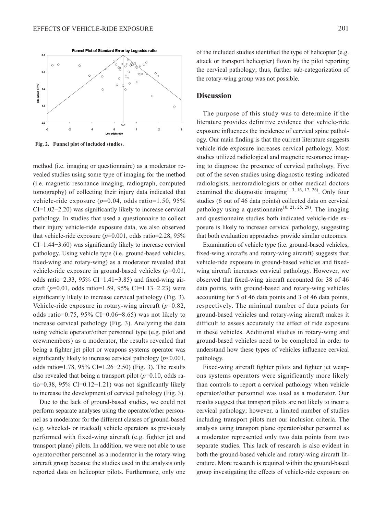

**Fig. 2. Funnel plot of included studies.**

method (i.e. imaging or questionnaire) as a moderator revealed studies using some type of imaging for the method (i.e. magnetic resonance imaging, radiograph, computed tomography) of collecting their injury data indicated that vehicle-ride exposure (*p*=0.04, odds ratio=1.50, 95% CI=1.02−2.20) was significantly likely to increase cervical pathology. In studies that used a questionnaire to collect their injury vehicle-ride exposure data, we also observed that vehicle-ride exposure  $(p=0.001, \text{ odds ratio}=2.28, 95\%$ CI=1.44−3.60) was significantly likely to increase cervical pathology. Using vehicle type (i.e. ground-based vehicles, fixed-wing and rotary-wing) as a moderator revealed that vehicle-ride exposure in ground-based vehicles (*p*=0.01, odds ratio=2.33, 95% CI=1.41−3.85) and fixed-wing aircraft (*p*=0.01, odds ratio=1.59, 95% CI=1.13−2.23) were significantly likely to increase cervical pathology (Fig. 3). Vehicle-ride exposure in rotary-wing aircraft (*p*=0.82, odds ratio=0.75, 95% CI=0.06−8.65) was not likely to increase cervical pathology (Fig. 3). Analyzing the data using vehicle operator/other personnel type (e.g. pilot and crewmembers) as a moderator, the results revealed that being a fighter jet pilot or weapons systems operator was significantly likely to increase cervical pathology  $(p<0.001)$ , odds ratio=1.78, 95% CI=1.26−2.50) (Fig. 3). The results also revealed that being a transport pilot (*p*=0.10, odds ratio=0.38, 95% CI=0.12−1.21) was not significantly likely to increase the development of cervical pathology (Fig. 3).

Due to the lack of ground-based studies, we could not perform separate analyses using the operator/other personnel as a moderator for the different classes of ground-based (e.g. wheeled- or tracked) vehicle operators as previously performed with fixed-wing aircraft (e.g. fighter jet and transport plane) pilots. In addition, we were not able to use operator/other personnel as a moderator in the rotary-wing aircraft group because the studies used in the analysis only reported data on helicopter pilots. Furthermore, only one

of the included studies identified the type of helicopter (e.g. attack or transport helicopter) flown by the pilot reporting the cervical pathology; thus, further sub-categorization of the rotary-wing group was not possible.

## **Discussion**

The purpose of this study was to determine if the literature provides definitive evidence that vehicle-ride exposure influences the incidence of cervical spine pathology. Our main finding is that the current literature suggests vehicle-ride exposure increases cervical pathology. Most studies utilized radiological and magnetic resonance imaging to diagnose the presence of cervical pathology. Five out of the seven studies using diagnostic testing indicated radiologists, neuroradiologists or other medical doctors examined the diagnostic imaging<sup>[1, 3, 16, 17, 26\)](#page-7-0)</sup>. Only four studies (6 out of 46 data points) collected data on cervical pathology using a questionnaire<sup>[10, 21, 25, 29\)](#page-7-9)</sup>. The imaging and questionnaire studies both indicated vehicle-ride exposure is likely to increase cervical pathology, suggesting that both evaluation approaches provide similar outcomes.

Examination of vehicle type (i.e. ground-based vehicles, fixed-wing aircrafts and rotary-wing aircraft) suggests that vehicle-ride exposure in ground-based vehicles and fixedwing aircraft increases cervical pathology. However, we observed that fixed-wing aircraft accounted for 38 of 46 data points, with ground-based and rotary-wing vehicles accounting for 5 of 46 data points and 3 of 46 data points, respectively. The minimal number of data points for ground-based vehicles and rotary-wing aircraft makes it difficult to assess accurately the effect of ride exposure in these vehicles. Additional studies in rotary-wing and ground-based vehicles need to be completed in order to understand how these types of vehicles influence cervical pathology.

Fixed-wing aircraft fighter pilots and fighter jet weapons systems operators were significantly more likely than controls to report a cervical pathology when vehicle operator/other personnel was used as a moderator. Our results suggest that transport pilots are not likely to incur a cervical pathology; however, a limited number of studies including transport pilots met our inclusion criteria. The analysis using transport plane operator/other personnel as a moderator represented only two data points from two separate studies. This lack of research is also evident in both the ground-based vehicle and rotary-wing aircraft literature. More research is required within the ground-based group investigating the effects of vehicle-ride exposure on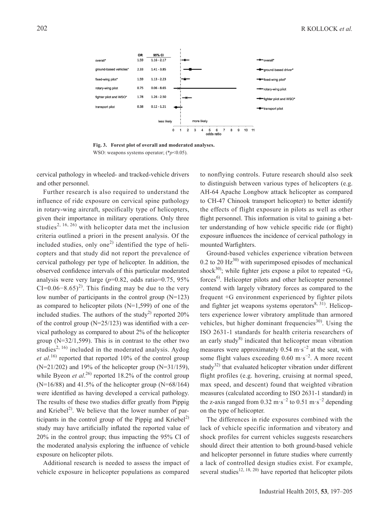

**Fig. 3. Forest plot of overall and moderated analyses.** WSO: weapons systems operator; (\* $p$ <0.05).

cervical pathology in wheeled- and tracked-vehicle drivers and other personnel.

Further research is also required to understand the influence of ride exposure on cervical spine pathology in rotary-wing aircraft, specifically type of helicopters, given their importance in military operations. Only three studies<sup>[2, 16, 26\)](#page-7-7)</sup> with helicopter data met the inclusion criteria outlined a priori in the present analysis. Of the included studies, only one<sup>[2\)](#page-7-7)</sup> identified the type of helicopters and that study did not report the prevalence of cervical pathology per type of helicopter. In addition, the observed confidence intervals of this particular moderated analysis were very large (*p*=0.82, odds ratio=0.75, 95%  $CI=0.06-8.65)^{2}$  $CI=0.06-8.65)^{2}$  $CI=0.06-8.65)^{2}$ . This finding may be due to the very low number of participants in the control group  $(N=123)$ as compared to helicopter pilots (N=1,599) of one of the included studies. The authors of the study<sup>[2](#page-7-7))</sup> reported  $20\%$ of the control group (N=25/123) was identified with a cervical pathology as compared to about 2% of the helicopter group  $(N=32/1,599)$ . This is in contrast to the other two studies<sup>[2, 16\)](#page-7-7)</sup> included in the moderated analysis. Aydog *et al*. [16](#page-7-4)) reported that reported 10% of the control group  $(N=21/202)$  and 19% of the helicopter group  $(N=31/159)$ , while Byeon *et al*.<sup>[26](#page-8-4)</sup> reported 18.2% of the control group  $(N=16/88)$  and 41.5% of the helicopter group (N=68/164) were identified as having developed a cervical pathology. The results of these two studies differ greatly from Pippig and Kriebel<sup>[2](#page-7-7))</sup>. We believe that the lower number of par-ticipants in the control group of the Pippig and Kriebel<sup>[2\)](#page-7-7)</sup> study may have artificially inflated the reported value of 20% in the control group; thus impacting the 95% CI of the moderated analysis exploring the influence of vehicle exposure on helicopter pilots.

Additional research is needed to assess the impact of vehicle exposure in helicopter populations as compared

to nonflying controls. Future research should also seek to distinguish between various types of helicopters (e.g. AH-64 Apache Longbow attack helicopter as compared to CH-47 Chinook transport helicopter) to better identify the effects of flight exposure in pilots as well as other flight personnel. This information is vital to gaining a better understanding of how vehicle specific ride (or flight) exposure influences the incidence of cervical pathology in mounted Warfighters.

Ground-based vehicles experience vibration between 0.2 to 20  $\text{Hz}^{30}$  $\text{Hz}^{30}$  $\text{Hz}^{30}$  with superimposed episodes of mechanical shock<sup>30)</sup>; while fighter jets expose a pilot to repeated  $+G_z$ forces<sup>[6](#page-7-1))</sup>. Helicopter pilots and other helicopter personnel contend with largely vibratory forces as compared to the frequent +G environment experienced by fighter pilots and fighter jet weapons systems operators $8, 31$ ). Helicopters experience lower vibratory amplitude than armored vehicles, but higher dominant frequencies<sup>[30\)](#page-8-9)</sup>. Using the ISO 2631-1 standards for health criteria researchers of an early study $8$ ) indicated that helicopter mean vibration measures were approximately  $0.54 \text{ m} \cdot \text{s}^{-2}$  at the seat, with some flight values exceeding 0.60 m·s−2. A more recent study $32$ ) that evaluated helicopter vibration under different flight profiles (e.g. hovering, cruising at normal speed, max speed, and descent) found that weighted vibration measures (calculated according to ISO 2631-1 standard) in the z-axis ranged from  $0.32 \text{ m} \cdot \text{s}^{-2}$  to  $0.51 \text{ m} \cdot \text{s}^{-2}$  depending on the type of helicopter.

The differences in ride exposures combined with the lack of vehicle specific information and vibratory and shock profiles for current vehicles suggests researchers should direct their attention to both ground-based vehicle and helicopter personnel in future studies where currently a lack of controlled design studies exist. For example, several studies<sup>12, 18, 20)</sup> have reported that helicopter pilots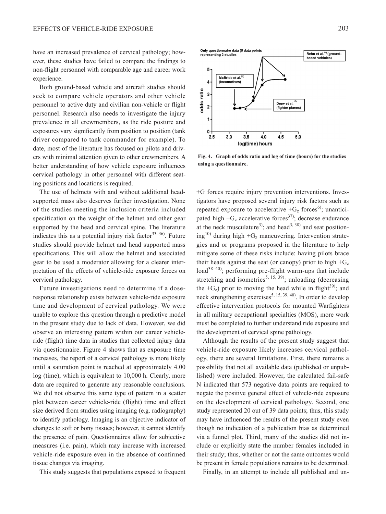have an increased prevalence of cervical pathology; however, these studies have failed to compare the findings to non-flight personnel with comparable age and career work experience.

Both ground-based vehicle and aircraft studies should seek to compare vehicle operators and other vehicle personnel to active duty and civilian non-vehicle or flight personnel. Research also needs to investigate the injury prevalence in all crewmembers, as the ride posture and exposures vary significantly from position to position (tank driver compared to tank commander for example). To date, most of the literature has focused on pilots and drivers with minimal attention given to other crewmembers. A better understanding of how vehicle exposure influences cervical pathology in other personnel with different seating positions and locations is required.

The use of helmets with and without additional headsupported mass also deserves further investigation. None of the studies meeting the inclusion criteria included specification on the weight of the helmet and other gear supported by the head and cervical spine. The literature indicates this as a potential injury risk factor  $(33-36)$ . Future studies should provide helmet and head supported mass specifications. This will allow the helmet and associated gear to be used a moderator allowing for a clearer interpretation of the effects of vehicle-ride exposure forces on cervical pathology.

Future investigations need to determine if a doseresponse relationship exists between vehicle-ride exposure time and development of cervical pathology. We were unable to explore this question through a predictive model in the present study due to lack of data. However, we did observe an interesting pattern within our career vehicleride (flight) time data in studies that collected injury data via questionnaire. Figure 4 shows that as exposure time increases, the report of a cervical pathology is more likely until a saturation point is reached at approximately 4.00 log (time), which is equivalent to 10,000 h. Clearly, more data are required to generate any reasonable conclusions. We did not observe this same type of pattern in a scatter plot between career vehicle-ride (flight) time and effect size derived from studies using imaging (e.g. radiography) to identify pathology. Imaging is an objective indicator of changes to soft or bony tissues; however, it cannot identify the presence of pain. Questionnaires allow for subjective measures (i.e. pain), which may increase with increased vehicle-ride exposure even in the absence of confirmed tissue changes via imaging.

This study suggests that populations exposed to frequent



**Fig. 4. Graph of odds ratio and log of time (hours) for the studies using a questionnaire.**

+G forces require injury prevention interventions. Investigators have proposed several injury risk factors such as repeated exposure to accelerative  $+G_z$  forces<sup>[6\)](#page-7-1)</sup>; unanticipated high  $+G_z$  accelerative forces<sup>[37](#page-8-12))</sup>; decrease endurance at the neck musculature<sup>3)</sup>; and head<sup>3, 38)</sup> and seat position-ing<sup>[10](#page-7-9))</sup> during high  $+G_z$  maneuvering. Intervention strategies and or programs proposed in the literature to help mitigate some of these risks include: having pilots brace their heads against the seat (or canopy) prior to high  $+G_z$ load<sup>38–40</sup>; performing pre-flight warm-ups that include stretching and isometrics<sup>[5, 15, 39](#page-7-2))</sup>; unloading (decreasing the  $+G_z$ ) prior to moving the head while in flight<sup>[39](#page-8-14))</sup>; and neck strengthening exercises<sup>[5, 15, 39, 40](#page-7-2))</sup>. In order to develop effective intervention protocols for mounted Warfighters in all military occupational specialties (MOS), more work must be completed to further understand ride exposure and the development of cervical spine pathology.

Although the results of the present study suggest that vehicle-ride exposure likely increases cervical pathology, there are several limitations. First, there remains a possibility that not all available data (published or unpublished) were included. However, the calculated fail-safe N indicated that 573 negative data points are required to negate the positive general effect of vehicle-ride exposure on the development of cervical pathology. Second, one study represented 20 out of 39 data points; thus, this study may have influenced the results of the present study even though no indication of a publication bias as determined via a funnel plot. Third, many of the studies did not include or explicitly state the number females included in their study; thus, whether or not the same outcomes would be present in female populations remains to be determined.

Finally, in an attempt to include all published and un-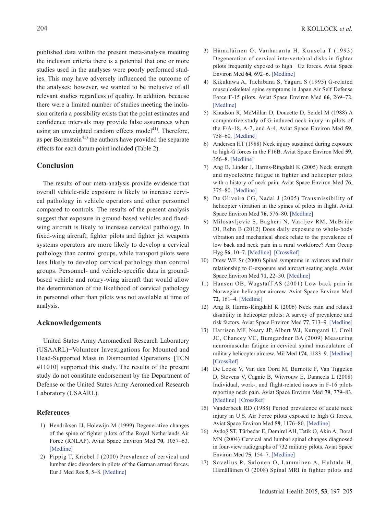published data within the present meta-analysis meeting the inclusion criteria there is a potential that one or more studies used in the analyses were poorly performed studies. This may have adversely influenced the outcome of the analyses; however, we wanted to be inclusive of all relevant studies regardless of quality. In addition, because there were a limited number of studies meeting the inclusion criteria a possibility exists that the point estimates and confidence intervals may provide false assurances when using an unweighted random effects model $41$ . Therefore, as per Borenstein<sup>[41](#page-8-15))</sup> the authors have provided the separate effects for each datum point included (Table 2).

# **Conclusion**

The results of our meta-analysis provide evidence that overall vehicle-ride exposure is likely to increase cervical pathology in vehicle operators and other personnel compared to controls. The results of the present analysis suggest that exposure in ground-based vehicles and fixedwing aircraft is likely to increase cervical pathology. In fixed-wing aircraft, fighter pilots and fighter jet weapons systems operators are more likely to develop a cervical pathology than control groups, while transport pilots were less likely to develop cervical pathology than control groups. Personnel- and vehicle-specific data in groundbased vehicle and rotary-wing aircraft that would allow the determination of the likelihood of cervical pathology in personnel other than pilots was not available at time of analysis.

# **Acknowledgements**

United States Army Aeromedical Research Laboratory (USAARL)−Volunteer Investigations for Mounted and Head-Supported Mass in Dismounted Operations−[TCN #11010] supported this study. The results of the present study do not constitute endorsement by the Department of Defense or the United States Army Aeromedical Research Laboratory (USAARL).

#### **References**

- <span id="page-7-0"></span>1) Hendriksen IJ, Holewijn M (1999) Degenerative changes of the spine of fighter pilots of the Royal Netherlands Air Force (RNLAF). Aviat Space Environ Med **70**, 1057–63. [\[Medline\]](http://www.ncbi.nlm.nih.gov/pubmed/10608601?dopt=Abstract)
- <span id="page-7-7"></span>2) Pippig T, Kriebel J (2000) Prevalence of cervical and lumbar disc disorders in pilots of the German armed forces. Eur J Med Res **5**, 5–8. [\[Medline\]](http://www.ncbi.nlm.nih.gov/pubmed/10657281?dopt=Abstract)
- <span id="page-7-10"></span>3) Hämäläinen O, Vanharanta H, Kuusela T (1993) Degeneration of cervical intervertebral disks in fighter pilots frequently exposed to high +Gz forces. Aviat Space Environ Med **64**, 692–6. [\[Medline\]](http://www.ncbi.nlm.nih.gov/pubmed/8368981?dopt=Abstract)
- 4) Kikukawa A, Tachibana S, Yagura S (1995) G-related musculoskeletal spine symptoms in Japan Air Self Defense Force F-15 pilots. Aviat Space Environ Med **66**, 269–72. [\[Medline\]](http://www.ncbi.nlm.nih.gov/pubmed/7661840?dopt=Abstract)
- <span id="page-7-2"></span>5) Knudson R, McMillan D, Doucette D, Seidel M (1988) A comparative study of G-induced neck injury in pilots of the F/A-18, A-7, and A-4. Aviat Space Environ Med **59**, 758–60. [\[Medline\]](http://www.ncbi.nlm.nih.gov/pubmed/3178626?dopt=Abstract)
- <span id="page-7-1"></span>6) Andersen HT (1988) Neck injury sustained during exposure to high-G forces in the F16B. Aviat Space Environ Med **59**, 356–8. [\[Medline\]](http://www.ncbi.nlm.nih.gov/pubmed/3370045?dopt=Abstract)
- 7) Ang B, Linder J, Harms-Ringdahl K (2005) Neck strength and myoelectric fatigue in fighter and helicopter pilots with a history of neck pain. Aviat Space Environ Med **76**, 375–80. [\[Medline\]](http://www.ncbi.nlm.nih.gov/pubmed/15828638?dopt=Abstract)
- <span id="page-7-11"></span>8) De Oliveira CG, Nadal J (2005) Transmissibility of helicopter vibration in the spines of pilots in flight. Aviat Space Environ Med **76**, 576–80. [\[Medline\]](http://www.ncbi.nlm.nih.gov/pubmed/15945403?dopt=Abstract)
- <span id="page-7-8"></span>9) Milosavljevic S, Bagheri N, Vasiljev RM, McBride DI, Rehn B (2012) Does daily exposure to whole-body vibration and mechanical shock relate to the prevalence of low back and neck pain in a rural workforce? Ann Occup Hyg **56**, 10–7. [\[Medline\]](http://www.ncbi.nlm.nih.gov/pubmed/21965463?dopt=Abstract) [\[CrossRef\]](http://dx.doi.org/10.1093/annhyg/mer068)
- <span id="page-7-9"></span>10) Drew WE Sr (2000) Spinal symptoms in aviators and their relationship to G-exposure and aircraft seating angle. Aviat Space Environ Med **71**, 22–30. [\[Medline\]](http://www.ncbi.nlm.nih.gov/pubmed/10632127?dopt=Abstract)
- 11) Hansen OB, Wagstaff AS (2001) Low back pain in Norwegian helicopter aircrew. Aviat Space Environ Med **72**, 161–4. [\[Medline\]](http://www.ncbi.nlm.nih.gov/pubmed/11277279?dopt=Abstract)
- <span id="page-7-6"></span>12) Ang B, Harms-Ringdahl K (2006) Neck pain and related disability in helicopter pilots: A survey of prevalence and risk factors. Aviat Space Environ Med **77**, 713–9. [\[Medline\]](http://www.ncbi.nlm.nih.gov/pubmed/16856356?dopt=Abstract)
- 13) Harrison MF, Neary JP, Albert WJ, Kuruganti U, Croll JC, Chancey VC, Bumgardner BA (2009) Measuring neuromuscular fatigue in cervical spinal musculature of military helicopter aircrew. Mil Med **174**, 1183–9. [\[Medline\]](http://www.ncbi.nlm.nih.gov/pubmed/19960827?dopt=Abstract) [\[CrossRef\]](http://dx.doi.org/10.7205/MILMED-D-00-7409)
- <span id="page-7-3"></span>14) De Loose V, Van den Oord M, Burnotte F, Van Tiggelen D, Stevens V, Cagnie B, Witvrouw E, Danneels L (2008) Individual, work-, and flight-related issues in F-16 pilots reporting neck pain. Aviat Space Environ Med **79**, 779–83. [\[Medline\]](http://www.ncbi.nlm.nih.gov/pubmed/18717118?dopt=Abstract) [\[CrossRef\]](http://dx.doi.org/10.3357/ASEM.2285.2008)
- 15) Vanderbeek RD (1988) Period prevalence of acute neck injury in U.S. Air Force pilots exposed to high G forces. Aviat Space Environ Med **59**, 1176–80. [\[Medline\]](http://www.ncbi.nlm.nih.gov/pubmed/3240219?dopt=Abstract)
- <span id="page-7-4"></span>16) Aydoğ ST, Türbedar E, Demirel AH, Tetik O, Akin A, Doral MN (2004) Cervical and lumbar spinal changes diagnosed in four-view radiographs of 732 military pilots. Aviat Space Environ Med **75**, 154–7. [\[Medline\]](http://www.ncbi.nlm.nih.gov/pubmed/14960051?dopt=Abstract)
- <span id="page-7-5"></span>17) Sovelius R, Salonen O, Lamminen A, Huhtala H, Hämäläinen O (2008) Spinal MRI in fighter pilots and